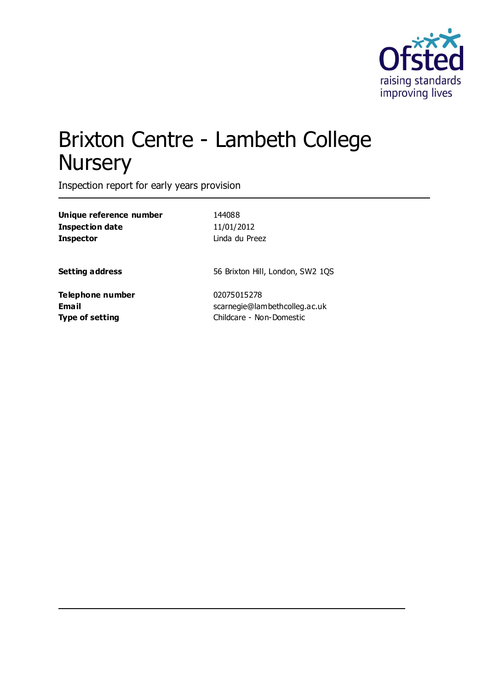

# Brixton Centre - Lambeth College **Nursery**

Inspection report for early years provision

| Unique reference number | 144088                           |
|-------------------------|----------------------------------|
| Inspection date         | 11/01/2012                       |
| Inspector               | Linda du Preez                   |
| Setting address         | 56 Brixton Hill, London, SW2 1QS |
| Telephone number        | 02075015278                      |
| Email                   | scarnegie@lambethcolleg.ac.uk    |
| Type of setting         | Childcare - Non-Domestic         |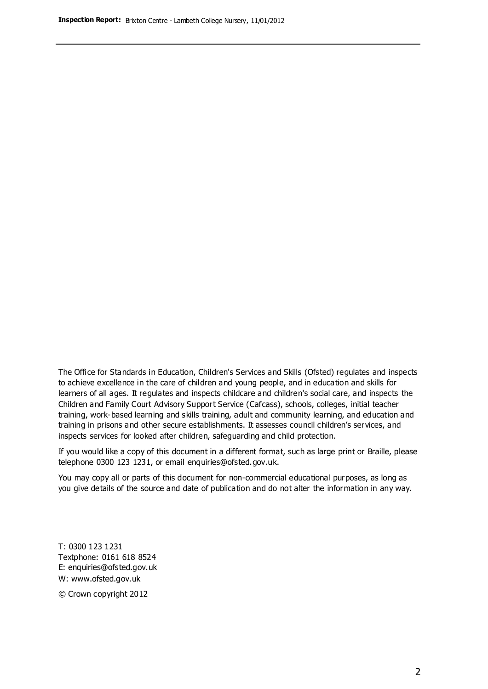The Office for Standards in Education, Children's Services and Skills (Ofsted) regulates and inspects to achieve excellence in the care of children and young people, and in education and skills for learners of all ages. It regulates and inspects childcare and children's social care, and inspects the Children and Family Court Advisory Support Service (Cafcass), schools, colleges, initial teacher training, work-based learning and skills training, adult and community learning, and education and training in prisons and other secure establishments. It assesses council children's services, and inspects services for looked after children, safeguarding and child protection.

If you would like a copy of this document in a different format, such as large print or Braille, please telephone 0300 123 1231, or email enquiries@ofsted.gov.uk.

You may copy all or parts of this document for non-commercial educational purposes, as long as you give details of the source and date of publication and do not alter the information in any way.

T: 0300 123 1231 Textphone: 0161 618 8524 E: enquiries@ofsted.gov.uk W: [www.ofsted.gov.uk](http://www.ofsted.gov.uk/)

© Crown copyright 2012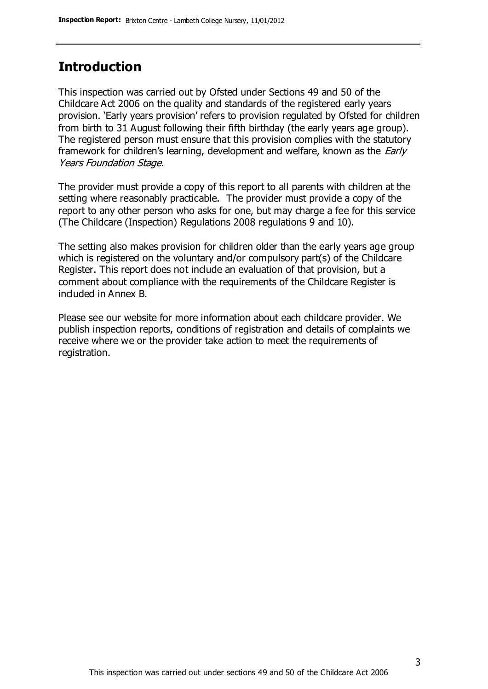# **Introduction**

This inspection was carried out by Ofsted under Sections 49 and 50 of the Childcare Act 2006 on the quality and standards of the registered early years provision. 'Early years provision' refers to provision regulated by Ofsted for children from birth to 31 August following their fifth birthday (the early years age group). The registered person must ensure that this provision complies with the statutory framework for children's learning, development and welfare, known as the *Early* Years Foundation Stage.

The provider must provide a copy of this report to all parents with children at the setting where reasonably practicable. The provider must provide a copy of the report to any other person who asks for one, but may charge a fee for this service (The Childcare (Inspection) Regulations 2008 regulations 9 and 10).

The setting also makes provision for children older than the early years age group which is registered on the voluntary and/or compulsory part(s) of the Childcare Register. This report does not include an evaluation of that provision, but a comment about compliance with the requirements of the Childcare Register is included in Annex B.

Please see our website for more information about each childcare provider. We publish inspection reports, conditions of registration and details of complaints we receive where we or the provider take action to meet the requirements of registration.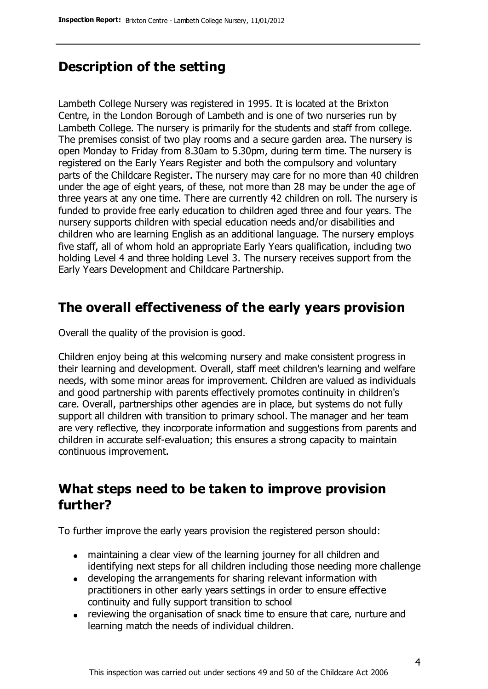# **Description of the setting**

Lambeth College Nursery was registered in 1995. It is located at the Brixton Centre, in the London Borough of Lambeth and is one of two nurseries run by Lambeth College. The nursery is primarily for the students and staff from college. The premises consist of two play rooms and a secure garden area. The nursery is open Monday to Friday from 8.30am to 5.30pm, during term time. The nursery is registered on the Early Years Register and both the compulsory and voluntary parts of the Childcare Register. The nursery may care for no more than 40 children under the age of eight years, of these, not more than 28 may be under the age of three years at any one time. There are currently 42 children on roll. The nursery is funded to provide free early education to children aged three and four years. The nursery supports children with special education needs and/or disabilities and children who are learning English as an additional language. The nursery employs five staff, all of whom hold an appropriate Early Years qualification, including two holding Level 4 and three holding Level 3. The nursery receives support from the Early Years Development and Childcare Partnership.

### **The overall effectiveness of the early years provision**

Overall the quality of the provision is good.

Children enjoy being at this welcoming nursery and make consistent progress in their learning and development. Overall, staff meet children's learning and welfare needs, with some minor areas for improvement. Children are valued as individuals and good partnership with parents effectively promotes continuity in children's care. Overall, partnerships other agencies are in place, but systems do not fully support all children with transition to primary school. The manager and her team are very reflective, they incorporate information and suggestions from parents and children in accurate self-evaluation; this ensures a strong capacity to maintain continuous improvement.

# **What steps need to be taken to improve provision further?**

To further improve the early years provision the registered person should:

- maintaining a clear view of the learning journey for all children and identifying next steps for all children including those needing more challenge
- developing the arrangements for sharing relevant information with practitioners in other early years settings in order to ensure effective continuity and fully support transition to school
- reviewing the organisation of snack time to ensure that care, nurture and learning match the needs of individual children.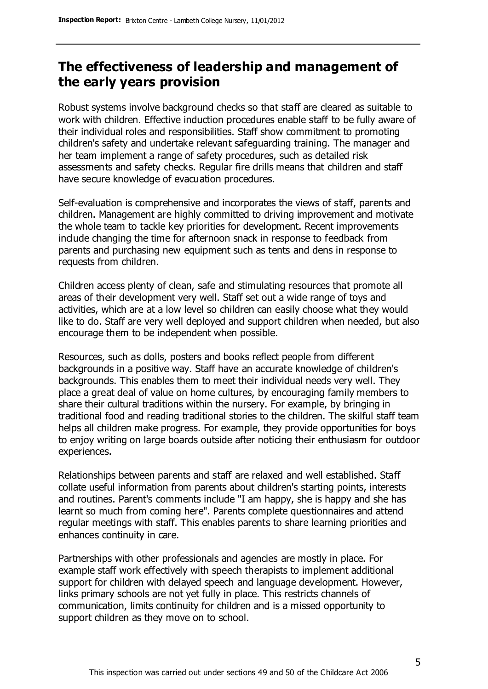# **The effectiveness of leadership and management of the early years provision**

Robust systems involve background checks so that staff are cleared as suitable to work with children. Effective induction procedures enable staff to be fully aware of their individual roles and responsibilities. Staff show commitment to promoting children's safety and undertake relevant safeguarding training. The manager and her team implement a range of safety procedures, such as detailed risk assessments and safety checks. Regular fire drills means that children and staff have secure knowledge of evacuation procedures.

Self-evaluation is comprehensive and incorporates the views of staff, parents and children. Management are highly committed to driving improvement and motivate the whole team to tackle key priorities for development. Recent improvements include changing the time for afternoon snack in response to feedback from parents and purchasing new equipment such as tents and dens in response to requests from children.

Children access plenty of clean, safe and stimulating resources that promote all areas of their development very well. Staff set out a wide range of toys and activities, which are at a low level so children can easily choose what they would like to do. Staff are very well deployed and support children when needed, but also encourage them to be independent when possible.

Resources, such as dolls, posters and books reflect people from different backgrounds in a positive way. Staff have an accurate knowledge of children's backgrounds. This enables them to meet their individual needs very well. They place a great deal of value on home cultures, by encouraging family members to share their cultural traditions within the nursery. For example, by bringing in traditional food and reading traditional stories to the children. The skilful staff team helps all children make progress. For example, they provide opportunities for boys to enjoy writing on large boards outside after noticing their enthusiasm for outdoor experiences.

Relationships between parents and staff are relaxed and well established. Staff collate useful information from parents about children's starting points, interests and routines. Parent's comments include "I am happy, she is happy and she has learnt so much from coming here". Parents complete questionnaires and attend regular meetings with staff. This enables parents to share learning priorities and enhances continuity in care.

Partnerships with other professionals and agencies are mostly in place. For example staff work effectively with speech therapists to implement additional support for children with delayed speech and language development. However, links primary schools are not yet fully in place. This restricts channels of communication, limits continuity for children and is a missed opportunity to support children as they move on to school.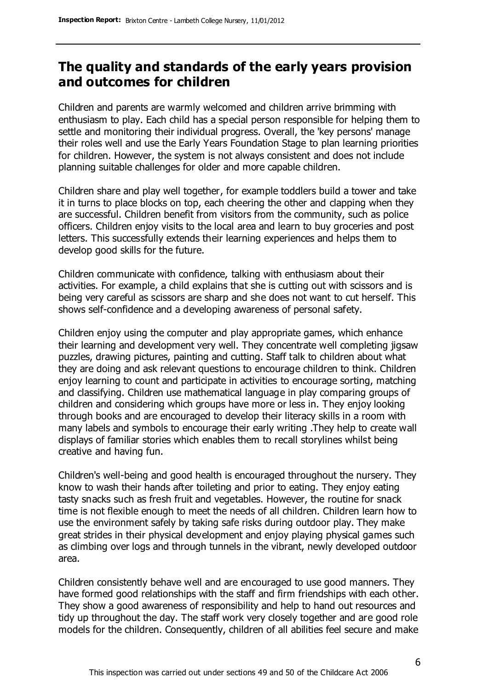# **The quality and standards of the early years provision and outcomes for children**

Children and parents are warmly welcomed and children arrive brimming with enthusiasm to play. Each child has a special person responsible for helping them to settle and monitoring their individual progress. Overall, the 'key persons' manage their roles well and use the Early Years Foundation Stage to plan learning priorities for children. However, the system is not always consistent and does not include planning suitable challenges for older and more capable children.

Children share and play well together, for example toddlers build a tower and take it in turns to place blocks on top, each cheering the other and clapping when they are successful. Children benefit from visitors from the community, such as police officers. Children enjoy visits to the local area and learn to buy groceries and post letters. This successfully extends their learning experiences and helps them to develop good skills for the future.

Children communicate with confidence, talking with enthusiasm about their activities. For example, a child explains that she is cutting out with scissors and is being very careful as scissors are sharp and she does not want to cut herself. This shows self-confidence and a developing awareness of personal safety.

Children enjoy using the computer and play appropriate games, which enhance their learning and development very well. They concentrate well completing jigsaw puzzles, drawing pictures, painting and cutting. Staff talk to children about what they are doing and ask relevant questions to encourage children to think. Children enjoy learning to count and participate in activities to encourage sorting, matching and classifying. Children use mathematical language in play comparing groups of children and considering which groups have more or less in. They enjoy looking through books and are encouraged to develop their literacy skills in a room with many labels and symbols to encourage their early writing .They help to create wall displays of familiar stories which enables them to recall storylines whilst being creative and having fun.

Children's well-being and good health is encouraged throughout the nursery. They know to wash their hands after toileting and prior to eating. They enjoy eating tasty snacks such as fresh fruit and vegetables. However, the routine for snack time is not flexible enough to meet the needs of all children. Children learn how to use the environment safely by taking safe risks during outdoor play. They make great strides in their physical development and enjoy playing physical games such as climbing over logs and through tunnels in the vibrant, newly developed outdoor area.

Children consistently behave well and are encouraged to use good manners. They have formed good relationships with the staff and firm friendships with each other. They show a good awareness of responsibility and help to hand out resources and tidy up throughout the day. The staff work very closely together and are good role models for the children. Consequently, children of all abilities feel secure and make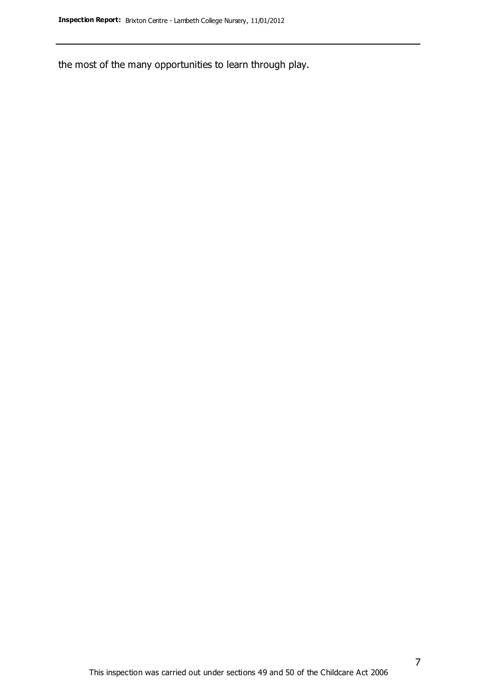the most of the many opportunities to learn through play.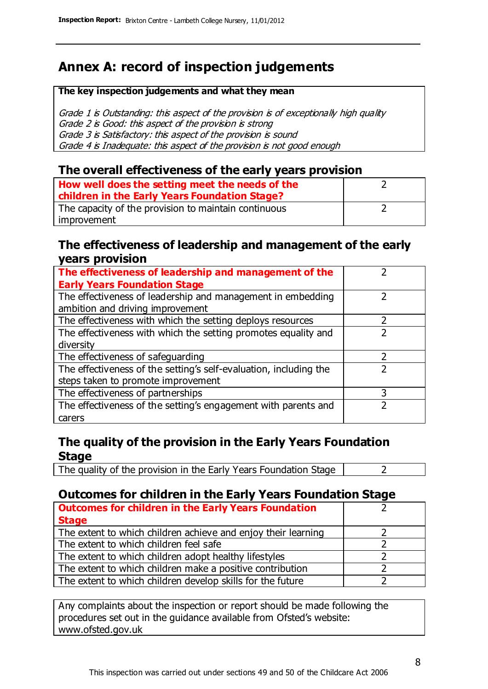# **Annex A: record of inspection judgements**

#### **The key inspection judgements and what they mean**

Grade 1 is Outstanding: this aspect of the provision is of exceptionally high quality Grade 2 is Good: this aspect of the provision is strong Grade 3 is Satisfactory: this aspect of the provision is sound Grade 4 is Inadequate: this aspect of the provision is not good enough

#### **The overall effectiveness of the early years provision**

| How well does the setting meet the needs of the<br>children in the Early Years Foundation Stage? |  |
|--------------------------------------------------------------------------------------------------|--|
| The capacity of the provision to maintain continuous                                             |  |
| improvement                                                                                      |  |

#### **The effectiveness of leadership and management of the early years provision**

| The effectiveness of leadership and management of the             |   |
|-------------------------------------------------------------------|---|
| <b>Early Years Foundation Stage</b>                               |   |
| The effectiveness of leadership and management in embedding       |   |
| ambition and driving improvement                                  |   |
| The effectiveness with which the setting deploys resources        |   |
| The effectiveness with which the setting promotes equality and    |   |
| diversity                                                         |   |
| The effectiveness of safeguarding                                 |   |
| The effectiveness of the setting's self-evaluation, including the |   |
| steps taken to promote improvement                                |   |
| The effectiveness of partnerships                                 | 3 |
| The effectiveness of the setting's engagement with parents and    |   |
| carers                                                            |   |

#### **The quality of the provision in the Early Years Foundation Stage**

The quality of the provision in the Early Years Foundation Stage  $\vert$  2

#### **Outcomes for children in the Early Years Foundation Stage**

| <b>Outcomes for children in the Early Years Foundation</b>    |  |
|---------------------------------------------------------------|--|
| <b>Stage</b>                                                  |  |
| The extent to which children achieve and enjoy their learning |  |
| The extent to which children feel safe                        |  |
| The extent to which children adopt healthy lifestyles         |  |
| The extent to which children make a positive contribution     |  |
| The extent to which children develop skills for the future    |  |

Any complaints about the inspection or report should be made following the procedures set out in the guidance available from Ofsted's website: www.ofsted.gov.uk